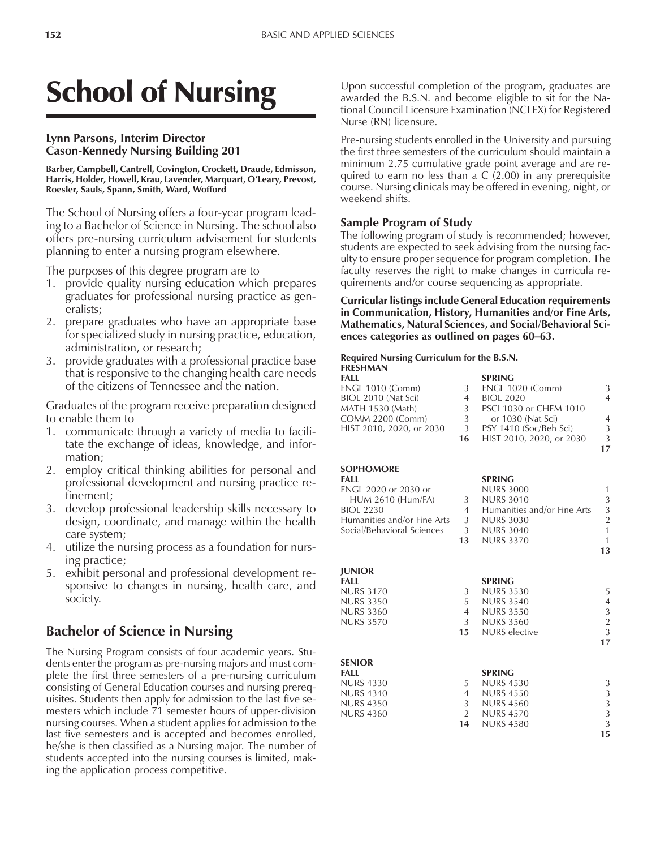# School of Nursing

#### **Lynn Parsons, Interim Director Cason-Kennedy Nursing Building 201**

#### **Barber, Campbell, Cantrell, Covington, Crockett, Draude, Edmisson,** Harris, Holder, Howell, Krau, Lavender, Marquart, O'Leary, Prevost, **Roesler, Sauls, Spann, Smith, Ward, Wofford**

The School of Nursing offers a four-year program leading to a Bachelor of Science in Nursing. The school also offers pre-nursing curriculum advisement for students planning to enter a nursing program elsewhere.

The purposes of this degree program are to

- 1. provide quality nursing education which prepares graduates for professional nursing practice as generalists;
- 2. prepare graduates who have an appropriate base for specialized study in nursing practice, education, administration, or research;
- 3. provide graduates with a professional practice base that is responsive to the changing health care needs of the citizens of Tennessee and the nation.

Graduates of the program receive preparation designed to enable them to

- 1. communicate through a variety of media to facilitate the exchange of ideas, knowledge, and information;
- 2. employ critical thinking abilities for personal and professional development and nursing practice refinement;
- 3. develop professional leadership skills necessary to design, coordinate, and manage within the health care system;
- 4. utilize the nursing process as a foundation for nursing practice;
- 5. exhibit personal and professional development responsive to changes in nursing, health care, and society.

## **Bachelor of Science in Nursing**

The Nursing Program consists of four academic years. Students enter the program as pre-nursing majors and must complete the first three semesters of a pre-nursing curriculum consisting of General Education courses and nursing prerequisites. Students then apply for admission to the last five semesters which include 71 semester hours of upper-division nursing courses. When a student applies for admission to the last five semesters and is accepted and becomes enrolled, he/she is then classified as a Nursing major. The number of students accepted into the nursing courses is limited, making the application process competitive.

Upon successful completion of the program, graduates are awarded the B.S.N. and become eligible to sit for the National Council Licensure Examination (NCLEX) for Registered Nurse (RN) licensure.

Pre-nursing students enrolled in the University and pursuing the first three semesters of the curriculum should maintain a minimum 2.75 cumulative grade point average and are required to earn no less than a C (2.00) in any prerequisite course. Nursing clinicals may be offered in evening, night, or weekend shifts.

#### **Sample Program of Study**

The following program of study is recommended; however, students are expected to seek advising from the nursing faculty to ensure proper sequence for program completion. The faculty reserves the right to make changes in curricula requirements and/or course sequencing as appropriate.

**Curricular listings include General Education requirements in Communication, History, Humanities and/or Fine Arts, Mathematics, Natural Sciences, and Social/Behavioral Sci**ences categories as outlined on pages 60–63.

#### **Required Nursing Curriculum for the B.S.N. FRESHMAN**

| . <i>. .</i>             |    |                          |               |
|--------------------------|----|--------------------------|---------------|
| FALL                     |    | <b>SPRING</b>            |               |
| <b>ENGL 1010 (Comm)</b>  | 3  | <b>ENGL 1020 (Comm)</b>  | 3             |
| BIOL 2010 (Nat Sci)      | 4  | <b>BIOL 2020</b>         | 4             |
| MATH 1530 (Math)         | 3  | PSCI 1030 or CHEM 1010   |               |
| COMM 2200 (Comm)         | 3  | or 1030 (Nat Sci)        | 4             |
| HIST 2010, 2020, or 2030 | 3  | PSY 1410 (Soc/Beh Sci)   | 3             |
|                          | 16 | HIST 2010, 2020, or 2030 | $\mathcal{L}$ |
|                          |    |                          | 17            |

| <b>SOPHOMORE</b>            |                |                                          |                |
|-----------------------------|----------------|------------------------------------------|----------------|
| FALL                        |                | <b>SPRING</b>                            |                |
| <b>ENGL 2020 or 2030 or</b> |                | <b>NURS 3000</b>                         | 1              |
| <b>HUM 2610 (Hum/FA)</b>    | 3              | <b>NURS 3010</b>                         | 3              |
| <b>BIOL 2230</b>            |                | Humanities and/or Fine Arts<br>$4 \quad$ | 3              |
| Humanities and/or Fine Arts |                | 3 NURS 3030                              | $\overline{2}$ |
| Social/Behavioral Sciences  |                | 3 NURS 3040                              | 1              |
|                             | 13             | <b>NURS 3370</b>                         | $\mathbf{1}$   |
|                             |                |                                          | 13             |
| <b>JUNIOR</b>               |                |                                          |                |
| FALL                        |                | <b>SPRING</b>                            |                |
| <b>NURS 3170</b>            | 3              | <b>NURS 3530</b>                         | 5              |
| <b>NURS 3350</b>            | $5 -$          | <b>NURS 3540</b>                         | 4              |
| <b>NURS 3360</b>            |                | 4 NURS 3550                              | 3              |
| <b>NURS 3570</b>            |                | 3 NURS 3560                              | $\overline{2}$ |
|                             | 15             | NURS elective                            | 3              |
|                             |                |                                          | 17             |
| <b>SENIOR</b>               |                |                                          |                |
| <b>FALL</b>                 |                | <b>SPRING</b>                            |                |
| <b>NURS 4330</b>            | 5              | <b>NURS 4530</b>                         | 3              |
| <b>NURS 4340</b>            | $4 \quad$      | <b>NURS 4550</b>                         | 3              |
| <b>NURS 4350</b>            | 3 <sup>7</sup> | <b>NURS 4560</b>                         | 3              |
| <b>NURS 4360</b>            | $2^{\circ}$    | <b>NURS 4570</b>                         | 3              |
|                             | 14             | <b>NURS 4580</b>                         | 3              |

**15**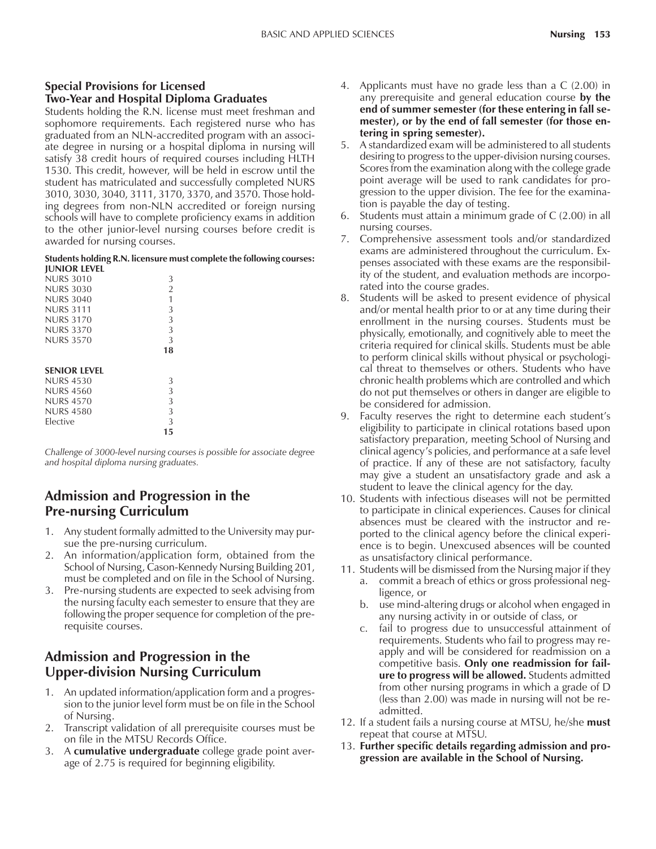#### **Special Provisions for Licensed Two-Year and Hospital Diploma Graduates**

Students holding the R.N. license must meet freshman and sophomore requirements. Each registered nurse who has graduated from an NLN-accredited program with an associate degree in nursing or a hospital diploma in nursing will satisfy 38 credit hours of required courses including HLTH 1530. This credit, however, will be held in escrow until the student has matriculated and successfully completed NURS 3010, 3030, 3040, 3111, 3170, 3370, and 3570. Those holding degrees from non-NLN accredited or foreign nursing schools will have to complete proficiency exams in addition to the other junior-level nursing courses before credit is awarded for nursing courses.

#### **Students holding R.N. licensure must complete the following courses: JUNIOR LEVEL**

| <b>NURS 3010</b>    | 3              |  |
|---------------------|----------------|--|
| <b>NURS 3030</b>    | $\overline{2}$ |  |
| <b>NURS 3040</b>    | 1              |  |
| <b>NURS 3111</b>    | 3              |  |
| <b>NURS 3170</b>    | 3              |  |
| <b>NURS 3370</b>    | 3              |  |
| <b>NURS 3570</b>    | 3              |  |
|                     | 18             |  |
| <b>SENIOR LEVEL</b> |                |  |
| <b>NURS 4530</b>    | 3              |  |
| <b>NURS 4560</b>    | 3              |  |
| <b>NURS 4570</b>    | 3              |  |
| <b>NURS 4580</b>    | 3              |  |
| Elective            | 3              |  |
|                     | 15             |  |

*Challenge of 3000-level nursing courses is possible for associate degree and hospital diploma nursing graduates.*

# **Admission and Progression in the Pre-nursing Curriculum**

- 1. Any student formally admitted to the University may pursue the pre-nursing curriculum.
- 2. An information/application form, obtained from the School of Nursing, Cason-Kennedy Nursing Building 201, must be completed and on file in the School of Nursing.
- 3. Pre-nursing students are expected to seek advising from the nursing faculty each semester to ensure that they are following the proper sequence for completion of the prerequisite courses.

# **Admission and Progression in the Upper-division Nursing Curriculum**

- 1. An updated information/application form and a progression to the junior level form must be on file in the School of Nursing.
- 2. Transcript validation of all prerequisite courses must be on file in the MTSU Records Office.
- 3. A **cumulative undergraduate** college grade point average of 2.75 is required for beginning eligibility.
- 4. Applicants must have no grade less than a C (2.00) in any prerequisite and general education course **by the end of summer semester (for these entering in fall semester), or by the end of fall semester (for those entering in spring semester).**
- 5. A standardized exam will be administered to all students desiring to progress to the upper-division nursing courses. Scores from the examination along with the college grade point average will be used to rank candidates for progression to the upper division. The fee for the examination is payable the day of testing.
- 6. Students must attain a minimum grade of C (2.00) in all nursing courses.
- 7. Comprehensive assessment tools and/or standardized exams are administered throughout the curriculum. Expenses associated with these exams are the responsibility of the student, and evaluation methods are incorporated into the course grades.
- 8. Students will be asked to present evidence of physical and/or mental health prior to or at any time during their enrollment in the nursing courses. Students must be physically, emotionally, and cognitively able to meet the criteria required for clinical skills. Students must be able to perform clinical skills without physical or psychological threat to themselves or others. Students who have chronic health problems which are controlled and which do not put themselves or others in danger are eligible to be considered for admission.
- 9. Faculty reserves the right to determine each student's eligibility to participate in clinical rotations based upon satisfactory preparation, meeting School of Nursing and clinical agencyís policies, and performance at a safe level of practice. If any of these are not satisfactory, faculty may give a student an unsatisfactory grade and ask a student to leave the clinical agency for the day.
- 10. Students with infectious diseases will not be permitted to participate in clinical experiences. Causes for clinical absences must be cleared with the instructor and reported to the clinical agency before the clinical experience is to begin. Unexcused absences will be counted as unsatisfactory clinical performance.
- 11. Students will be dismissed from the Nursing major if they a. commit a breach of ethics or gross professional negligence, or
	- b. use mind-altering drugs or alcohol when engaged in any nursing activity in or outside of class, or
	- c. fail to progress due to unsuccessful attainment of requirements. Students who fail to progress may reapply and will be considered for readmission on a competitive basis. **Only one readmission for failure to progress will be allowed.** Students admitted from other nursing programs in which a grade of D (less than 2.00) was made in nursing will not be readmitted.
- 12. If a student fails a nursing course at MTSU, he/she **must** repeat that course at MTSU.
- 13. **Further specific details regarding admission and progression are available in the School of Nursing.**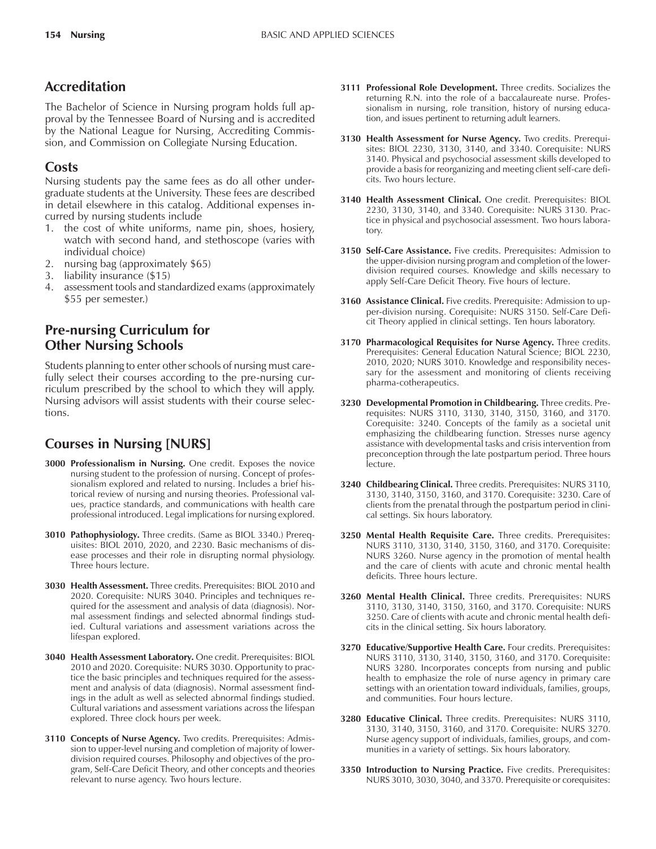# **Accreditation**

The Bachelor of Science in Nursing program holds full approval by the Tennessee Board of Nursing and is accredited by the National League for Nursing, Accrediting Commission, and Commission on Collegiate Nursing Education.

### **Costs**

Nursing students pay the same fees as do all other undergraduate students at the University. These fees are described in detail elsewhere in this catalog. Additional expenses incurred by nursing students include

- 1. the cost of white uniforms, name pin, shoes, hosiery, watch with second hand, and stethoscope (varies with individual choice)
- 2. nursing bag (approximately \$65)
- 3. liability insurance (\$15)
- 4. assessment tools and standardized exams (approximately \$55 per semester.)

# **Pre-nursing Curriculum for Other Nursing Schools**

Students planning to enter other schools of nursing must carefully select their courses according to the pre-nursing curriculum prescribed by the school to which they will apply. Nursing advisors will assist students with their course selections.

# **Courses in Nursing [NURS]**

- **3000 Professionalism in Nursing.** One credit. Exposes the novice nursing student to the profession of nursing. Concept of professionalism explored and related to nursing. Includes a brief historical review of nursing and nursing theories. Professional values, practice standards, and communications with health care professional introduced. Legal implications for nursing explored.
- **3010 Pathophysiology.** Three credits. (Same as BIOL 3340.) Prerequisites: BIOL 2010, 2020, and 2230. Basic mechanisms of disease processes and their role in disrupting normal physiology. Three hours lecture.
- **3030 Health Assessment.** Three credits. Prerequisites: BIOL 2010 and 2020. Corequisite: NURS 3040. Principles and techniques required for the assessment and analysis of data (diagnosis). Normal assessment findings and selected abnormal findings studied. Cultural variations and assessment variations across the lifespan explored.
- **3040 Health Assessment Laboratory.** One credit. Prerequisites: BIOL 2010 and 2020. Corequisite: NURS 3030. Opportunity to practice the basic principles and techniques required for the assessment and analysis of data (diagnosis). Normal assessment findings in the adult as well as selected abnormal findings studied. Cultural variations and assessment variations across the lifespan explored. Three clock hours per week.
- **3110 Concepts of Nurse Agency.** Two credits. Prerequisites: Admission to upper-level nursing and completion of majority of lowerdivision required courses. Philosophy and objectives of the program, Self-Care Deficit Theory, and other concepts and theories relevant to nurse agency. Two hours lecture.
- **3111 Professional Role Development.** Three credits. Socializes the returning R.N. into the role of a baccalaureate nurse. Professionalism in nursing, role transition, history of nursing education, and issues pertinent to returning adult learners.
- **3130 Health Assessment for Nurse Agency.** Two credits. Prerequisites: BIOL 2230, 3130, 3140, and 3340. Corequisite: NURS 3140. Physical and psychosocial assessment skills developed to provide a basis for reorganizing and meeting client self-care deficits. Two hours lecture.
- **3140 Health Assessment Clinical.** One credit. Prerequisites: BIOL 2230, 3130, 3140, and 3340. Corequisite: NURS 3130. Practice in physical and psychosocial assessment. Two hours laboratory.
- **3150 Self-Care Assistance.** Five credits. Prerequisites: Admission to the upper-division nursing program and completion of the lowerdivision required courses. Knowledge and skills necessary to apply Self-Care Deficit Theory. Five hours of lecture.
- **3160 Assistance Clinical.** Five credits. Prerequisite: Admission to upper-division nursing. Corequisite: NURS 3150. Self-Care Deficit Theory applied in clinical settings. Ten hours laboratory.
- **3170 Pharmacological Requisites for Nurse Agency.** Three credits. Prerequisites: General Education Natural Science; BIOL 2230, 2010, 2020; NURS 3010. Knowledge and responsibility necessary for the assessment and monitoring of clients receiving pharma-cotherapeutics.
- **3230 Developmental Promotion in Childbearing.** Three credits. Prerequisites: NURS 3110, 3130, 3140, 3150, 3160, and 3170. Corequisite: 3240. Concepts of the family as a societal unit emphasizing the childbearing function. Stresses nurse agency assistance with developmental tasks and crisis intervention from preconception through the late postpartum period. Three hours lecture.
- **3240 Childbearing Clinical.** Three credits. Prerequisites: NURS 3110, 3130, 3140, 3150, 3160, and 3170. Corequisite: 3230. Care of clients from the prenatal through the postpartum period in clinical settings. Six hours laboratory.
- **3250 Mental Health Requisite Care.** Three credits. Prerequisites: NURS 3110, 3130, 3140, 3150, 3160, and 3170. Corequisite: NURS 3260. Nurse agency in the promotion of mental health and the care of clients with acute and chronic mental health deficits. Three hours lecture.
- **3260 Mental Health Clinical.** Three credits. Prerequisites: NURS 3110, 3130, 3140, 3150, 3160, and 3170. Corequisite: NURS 3250. Care of clients with acute and chronic mental health deficits in the clinical setting. Six hours laboratory.
- **3270 Educative/Supportive Health Care.** Four credits. Prerequisites: NURS 3110, 3130, 3140, 3150, 3160, and 3170. Corequisite: NURS 3280. Incorporates concepts from nursing and public health to emphasize the role of nurse agency in primary care settings with an orientation toward individuals, families, groups, and communities. Four hours lecture.
- **3280 Educative Clinical.** Three credits. Prerequisites: NURS 3110, 3130, 3140, 3150, 3160, and 3170. Corequisite: NURS 3270. Nurse agency support of individuals, families, groups, and communities in a variety of settings. Six hours laboratory.
- **3350 Introduction to Nursing Practice.** Five credits. Prerequisites: NURS 3010, 3030, 3040, and 3370. Prerequisite or corequisites: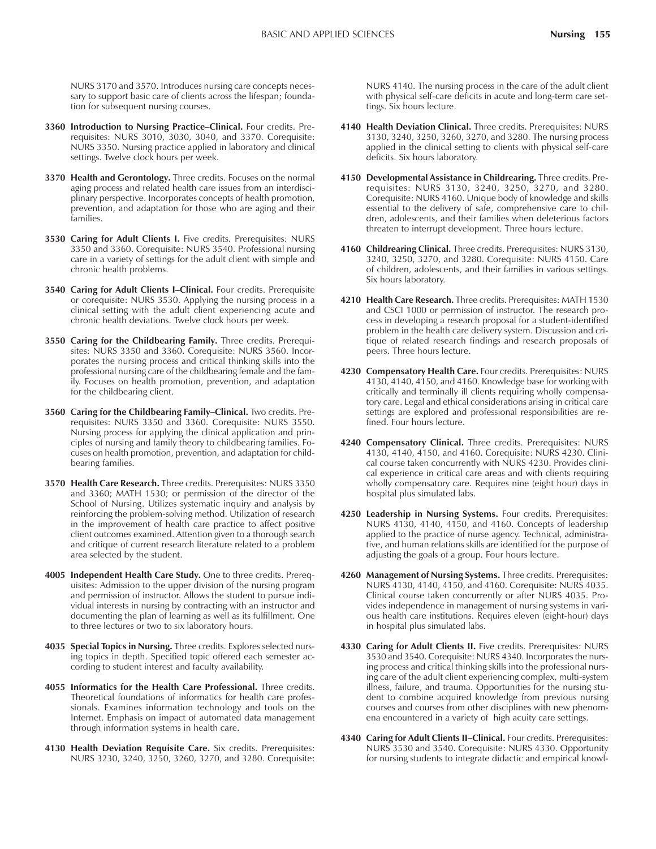NURS 3170 and 3570. Introduces nursing care concepts necessary to support basic care of clients across the lifespan; foundation for subsequent nursing courses.

- 3360 Introduction to Nursing Practice-Clinical. Four credits. Prerequisites: NURS 3010, 3030, 3040, and 3370. Corequisite: NURS 3350. Nursing practice applied in laboratory and clinical settings. Twelve clock hours per week.
- **3370 Health and Gerontology.** Three credits. Focuses on the normal aging process and related health care issues from an interdisciplinary perspective. Incorporates concepts of health promotion, prevention, and adaptation for those who are aging and their families.
- **3530 Caring for Adult Clients I.** Five credits. Prerequisites: NURS 3350 and 3360. Corequisite: NURS 3540. Professional nursing care in a variety of settings for the adult client with simple and chronic health problems.
- 3540 Caring for Adult Clients I-Clinical. Four credits. Prerequisite or corequisite: NURS 3530. Applying the nursing process in a clinical setting with the adult client experiencing acute and chronic health deviations. Twelve clock hours per week.
- **3550 Caring for the Childbearing Family.** Three credits. Prerequisites: NURS 3350 and 3360. Corequisite: NURS 3560. Incorporates the nursing process and critical thinking skills into the professional nursing care of the childbearing female and the family. Focuses on health promotion, prevention, and adaptation for the childbearing client.
- **3560 Caring for the Childbearing Family-Clinical.** Two credits. Prerequisites: NURS 3350 and 3360. Corequisite: NURS 3550. Nursing process for applying the clinical application and principles of nursing and family theory to childbearing families. Focuses on health promotion, prevention, and adaptation for childbearing families.
- **3570 Health Care Research.** Three credits. Prerequisites: NURS 3350 and 3360; MATH 1530; or permission of the director of the School of Nursing. Utilizes systematic inquiry and analysis by reinforcing the problem-solving method. Utilization of research in the improvement of health care practice to affect positive client outcomes examined. Attention given to a thorough search and critique of current research literature related to a problem area selected by the student.
- **4005 Independent Health Care Study.** One to three credits. Prerequisites: Admission to the upper division of the nursing program and permission of instructor. Allows the student to pursue individual interests in nursing by contracting with an instructor and documenting the plan of learning as well as its fulfillment. One to three lectures or two to six laboratory hours.
- **4035 Special Topics in Nursing.** Three credits. Explores selected nursing topics in depth. Specified topic offered each semester according to student interest and faculty availability.
- **4055 Informatics for the Health Care Professional.** Three credits. Theoretical foundations of informatics for health care professionals. Examines information technology and tools on the Internet. Emphasis on impact of automated data management through information systems in health care.
- **4130 Health Deviation Requisite Care.** Six credits. Prerequisites: NURS 3230, 3240, 3250, 3260, 3270, and 3280. Corequisite:

NURS 4140. The nursing process in the care of the adult client with physical self-care deficits in acute and long-term care settings. Six hours lecture.

- **4140 Health Deviation Clinical.** Three credits. Prerequisites: NURS 3130, 3240, 3250, 3260, 3270, and 3280. The nursing process applied in the clinical setting to clients with physical self-care deficits. Six hours laboratory.
- **4150 Developmental Assistance in Childrearing.** Three credits. Prerequisites: NURS 3130, 3240, 3250, 3270, and 3280. Corequisite: NURS 4160. Unique body of knowledge and skills essential to the delivery of safe, comprehensive care to children, adolescents, and their families when deleterious factors threaten to interrupt development. Three hours lecture.
- **4160 Childrearing Clinical.** Three credits. Prerequisites: NURS 3130, 3240, 3250, 3270, and 3280. Corequisite: NURS 4150. Care of children, adolescents, and their families in various settings. Six hours laboratory.
- **4210 Health Care Research.** Three credits. Prerequisites: MATH 1530 and CSCI 1000 or permission of instructor. The research process in developing a research proposal for a student-identified problem in the health care delivery system. Discussion and critique of related research findings and research proposals of peers. Three hours lecture.
- **4230 Compensatory Health Care.** Four credits. Prerequisites: NURS 4130, 4140, 4150, and 4160. Knowledge base for working with critically and terminally ill clients requiring wholly compensatory care. Legal and ethical considerations arising in critical care settings are explored and professional responsibilities are refined. Four hours lecture.
- **4240 Compensatory Clinical.** Three credits. Prerequisites: NURS 4130, 4140, 4150, and 4160. Corequisite: NURS 4230. Clinical course taken concurrently with NURS 4230. Provides clinical experience in critical care areas and with clients requiring wholly compensatory care. Requires nine (eight hour) days in hospital plus simulated labs.
- **4250 Leadership in Nursing Systems.** Four credits. Prerequisites: NURS 4130, 4140, 4150, and 4160. Concepts of leadership applied to the practice of nurse agency. Technical, administrative, and human relations skills are identified for the purpose of adjusting the goals of a group. Four hours lecture.
- **4260 Management of Nursing Systems.** Three credits. Prerequisites: NURS 4130, 4140, 4150, and 4160. Corequisite: NURS 4035. Clinical course taken concurrently or after NURS 4035. Provides independence in management of nursing systems in various health care institutions. Requires eleven (eight-hour) days in hospital plus simulated labs.
- 4330 Caring for Adult Clients II. Five credits. Prerequisites: NURS 3530 and 3540. Corequisite: NURS 4340. Incorporates the nursing process and critical thinking skills into the professional nursing care of the adult client experiencing complex, multi-system illness, failure, and trauma. Opportunities for the nursing student to combine acquired knowledge from previous nursing courses and courses from other disciplines with new phenomena encountered in a variety of high acuity care settings.
- **4340 Caring for Adult Clients II-Clinical.** Four credits. Prerequisites: NURS 3530 and 3540. Corequisite: NURS 4330. Opportunity for nursing students to integrate didactic and empirical knowl-